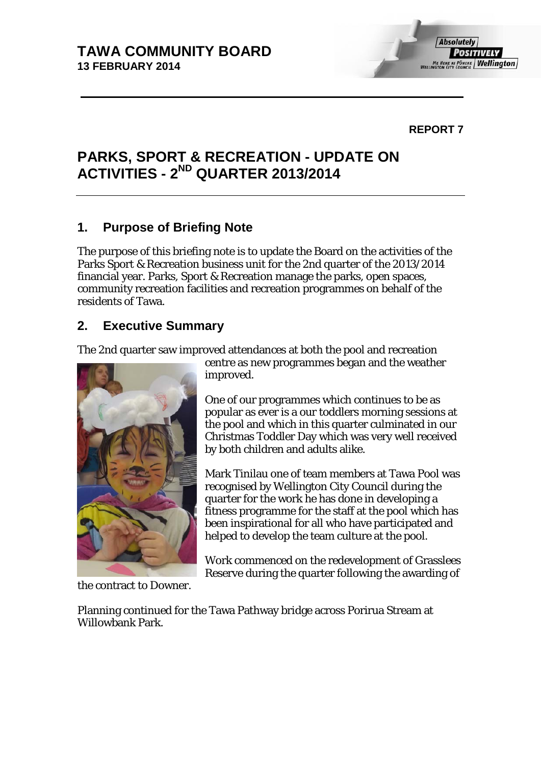#### **REPORT 7**

# **PARKS, SPORT & RECREATION - UPDATE ON ACTIVITIES - 2ND QUARTER 2013/2014**

## **1. Purpose of Briefing Note**

The purpose of this briefing note is to update the Board on the activities of the Parks Sport & Recreation business unit for the 2nd quarter of the 2013/2014 financial year. Parks, Sport & Recreation manage the parks, open spaces, community recreation facilities and recreation programmes on behalf of the residents of Tawa.

## **2. Executive Summary**

The 2nd quarter saw improved attendances at both the pool and recreation



the contract to Downer.

centre as new programmes began and the weather improved.

One of our programmes which continues to be as popular as ever is a our toddlers morning sessions at the pool and which in this quarter culminated in our Christmas Toddler Day which was very well received by both children and adults alike.

Mark Tinilau one of team members at Tawa Pool was recognised by Wellington City Council during the quarter for the work he has done in developing a fitness programme for the staff at the pool which has been inspirational for all who have participated and helped to develop the team culture at the pool.

Work commenced on the redevelopment of Grasslees Reserve during the quarter following the awarding of

Planning continued for the Tawa Pathway bridge across Porirua Stream at Willowbank Park.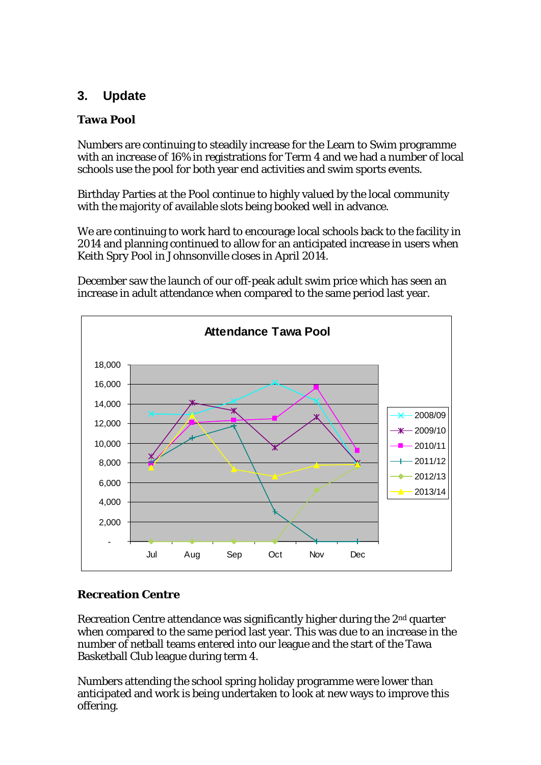# **3. Update**

### **Tawa Pool**

Numbers are continuing to steadily increase for the Learn to Swim programme with an increase of 16% in registrations for Term 4 and we had a number of local schools use the pool for both year end activities and swim sports events.

Birthday Parties at the Pool continue to highly valued by the local community with the majority of available slots being booked well in advance.

We are continuing to work hard to encourage local schools back to the facility in 2014 and planning continued to allow for an anticipated increase in users when Keith Spry Pool in Johnsonville closes in April 2014.

December saw the launch of our off-peak adult swim price which has seen an increase in adult attendance when compared to the same period last year.



#### **Recreation Centre**

Recreation Centre attendance was significantly higher during the 2nd quarter when compared to the same period last year. This was due to an increase in the number of netball teams entered into our league and the start of the Tawa Basketball Club league during term 4.

Numbers attending the school spring holiday programme were lower than anticipated and work is being undertaken to look at new ways to improve this offering.